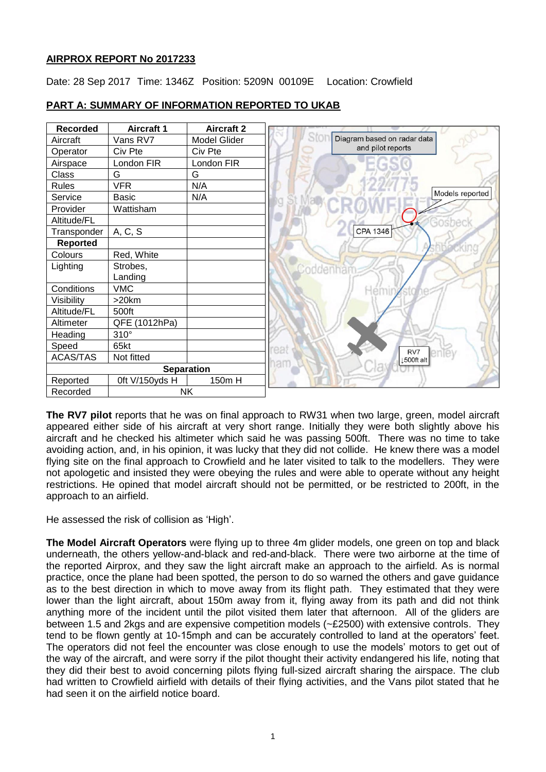# **AIRPROX REPORT No 2017233**

Date: 28 Sep 2017 Time: 1346Z Position: 5209N 00109E Location: Crowfield



# **PART A: SUMMARY OF INFORMATION REPORTED TO UKAB**

**The RV7 pilot** reports that he was on final approach to RW31 when two large, green, model aircraft appeared either side of his aircraft at very short range. Initially they were both slightly above his aircraft and he checked his altimeter which said he was passing 500ft. There was no time to take avoiding action, and, in his opinion, it was lucky that they did not collide. He knew there was a model flying site on the final approach to Crowfield and he later visited to talk to the modellers. They were not apologetic and insisted they were obeying the rules and were able to operate without any height restrictions. He opined that model aircraft should not be permitted, or be restricted to 200ft, in the approach to an airfield.

He assessed the risk of collision as 'High'.

**The Model Aircraft Operators** were flying up to three 4m glider models, one green on top and black underneath, the others yellow-and-black and red-and-black. There were two airborne at the time of the reported Airprox, and they saw the light aircraft make an approach to the airfield. As is normal practice, once the plane had been spotted, the person to do so warned the others and gave guidance as to the best direction in which to move away from its flight path. They estimated that they were lower than the light aircraft, about 150m away from it, flying away from its path and did not think anything more of the incident until the pilot visited them later that afternoon. All of the gliders are between 1.5 and 2kgs and are expensive competition models (~£2500) with extensive controls. They tend to be flown gently at 10-15mph and can be accurately controlled to land at the operators' feet. The operators did not feel the encounter was close enough to use the models' motors to get out of the way of the aircraft, and were sorry if the pilot thought their activity endangered his life, noting that they did their best to avoid concerning pilots flying full-sized aircraft sharing the airspace. The club had written to Crowfield airfield with details of their flying activities, and the Vans pilot stated that he had seen it on the airfield notice board.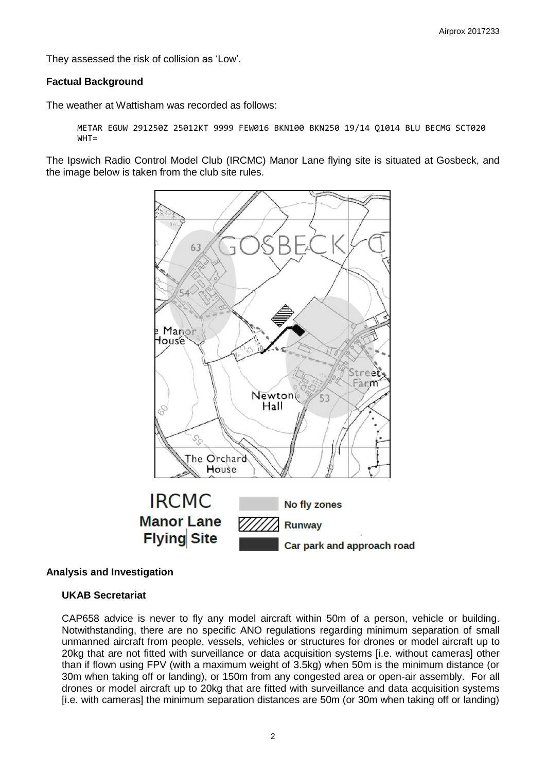They assessed the risk of collision as 'Low'.

## **Factual Background**

The weather at Wattisham was recorded as follows:

```
METAR EGUW 291250Z 25012KT 9999 FEW016 BKN100 BKN250 19/14 Q1014 BLU BECMG SCT020 
WHT =
```
The Ipswich Radio Control Model Club (IRCMC) Manor Lane flying site is situated at Gosbeck, and the image below is taken from the club site rules.



#### **Analysis and Investigation**

## **UKAB Secretariat**

CAP658 advice is never to fly any model aircraft within 50m of a person, vehicle or building. Notwithstanding, there are no specific ANO regulations regarding minimum separation of small unmanned aircraft from people, vessels, vehicles or structures for drones or model aircraft up to 20kg that are not fitted with surveillance or data acquisition systems [i.e. without cameras] other than if flown using FPV (with a maximum weight of 3.5kg) when 50m is the minimum distance (or 30m when taking off or landing), or 150m from any congested area or open-air assembly. For all drones or model aircraft up to 20kg that are fitted with surveillance and data acquisition systems [i.e. with cameras] the minimum separation distances are 50m (or 30m when taking off or landing)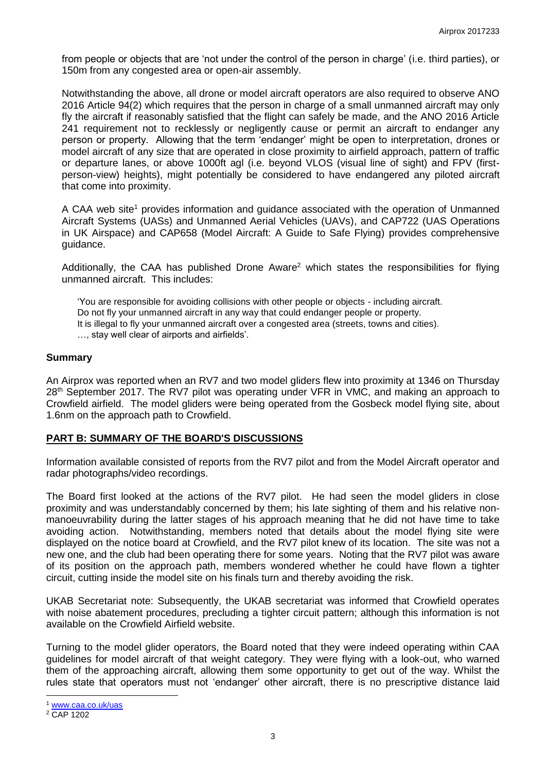from people or objects that are 'not under the control of the person in charge' (i.e. third parties), or 150m from any congested area or open-air assembly.

Notwithstanding the above, all drone or model aircraft operators are also required to observe ANO 2016 Article 94(2) which requires that the person in charge of a small unmanned aircraft may only fly the aircraft if reasonably satisfied that the flight can safely be made, and the ANO 2016 Article 241 requirement not to recklessly or negligently cause or permit an aircraft to endanger any person or property. Allowing that the term 'endanger' might be open to interpretation, drones or model aircraft of any size that are operated in close proximity to airfield approach, pattern of traffic or departure lanes, or above 1000ft agl (i.e. beyond VLOS (visual line of sight) and FPV (firstperson-view) heights), might potentially be considered to have endangered any piloted aircraft that come into proximity.

A CAA web site<sup>1</sup> provides information and guidance associated with the operation of Unmanned Aircraft Systems (UASs) and Unmanned Aerial Vehicles (UAVs), and CAP722 (UAS Operations in UK Airspace) and CAP658 (Model Aircraft: A Guide to Safe Flying) provides comprehensive guidance.

Additionally, the CAA has published Drone Aware<sup>2</sup> which states the responsibilities for flying unmanned aircraft. This includes:

'You are responsible for avoiding collisions with other people or objects - including aircraft. Do not fly your unmanned aircraft in any way that could endanger people or property. It is illegal to fly your unmanned aircraft over a congested area (streets, towns and cities). …, stay well clear of airports and airfields'.

#### **Summary**

An Airprox was reported when an RV7 and two model gliders flew into proximity at 1346 on Thursday 28<sup>th</sup> September 2017. The RV7 pilot was operating under VFR in VMC, and making an approach to Crowfield airfield. The model gliders were being operated from the Gosbeck model flying site, about 1.6nm on the approach path to Crowfield.

#### **PART B: SUMMARY OF THE BOARD'S DISCUSSIONS**

Information available consisted of reports from the RV7 pilot and from the Model Aircraft operator and radar photographs/video recordings.

The Board first looked at the actions of the RV7 pilot. He had seen the model gliders in close proximity and was understandably concerned by them; his late sighting of them and his relative nonmanoeuvrability during the latter stages of his approach meaning that he did not have time to take avoiding action. Notwithstanding, members noted that details about the model flying site were displayed on the notice board at Crowfield, and the RV7 pilot knew of its location. The site was not a new one, and the club had been operating there for some years. Noting that the RV7 pilot was aware of its position on the approach path, members wondered whether he could have flown a tighter circuit, cutting inside the model site on his finals turn and thereby avoiding the risk.

UKAB Secretariat note: Subsequently, the UKAB secretariat was informed that Crowfield operates with noise abatement procedures, precluding a tighter circuit pattern; although this information is not available on the Crowfield Airfield website.

Turning to the model glider operators, the Board noted that they were indeed operating within CAA guidelines for model aircraft of that weight category. They were flying with a look-out, who warned them of the approaching aircraft, allowing them some opportunity to get out of the way. Whilst the rules state that operators must not 'endanger' other aircraft, there is no prescriptive distance laid

 $\overline{\phantom{a}}$ 

<sup>1</sup> [www.caa.co.uk/uas](http://www.caa.co.uk/uas)

<sup>&</sup>lt;sup>2</sup> CAP 1202